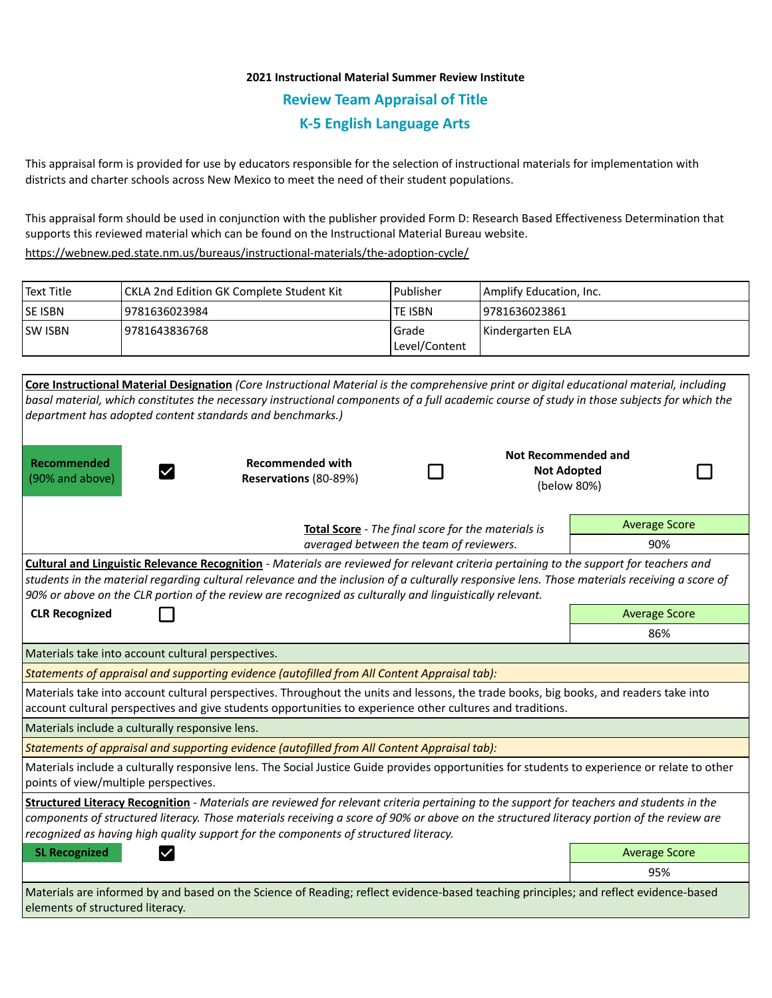## **2021 Instructional Material Summer Review Institute Review Team Appraisal of Title K-5 English Language Arts**

This appraisal form is provided for use by educators responsible for the selection of instructional materials for implementation with districts and charter schools across New Mexico to meet the need of their student populations.

This appraisal form should be used in conjunction with the publisher provided Form D: Research Based Effectiveness Determination that supports this reviewed material which can be found on the Instructional Material Bureau website.

<https://webnew.ped.state.nm.us/bureaus/instructional-materials/the-adoption-cycle/>

| l Text Title | CKLA 2nd Edition GK Complete Student Kit | l Publisher              | Amplify Education, Inc. |
|--------------|------------------------------------------|--------------------------|-------------------------|
| lse isbn     | 9781636023984                            | <b>TE ISBN</b>           | 19781636023861          |
| lsw Isbn     | 19781643836768                           | l Grade<br>Level/Content | Kindergarten ELA        |

|                                                           | Core Instructional Material Designation (Core Instructional Material is the comprehensive print or digital educational material, including                                                                                                                                                                                                                                                          |                                                    |                                                                 |                      |  |
|-----------------------------------------------------------|-----------------------------------------------------------------------------------------------------------------------------------------------------------------------------------------------------------------------------------------------------------------------------------------------------------------------------------------------------------------------------------------------------|----------------------------------------------------|-----------------------------------------------------------------|----------------------|--|
|                                                           | basal material, which constitutes the necessary instructional components of a full academic course of study in those subjects for which the                                                                                                                                                                                                                                                         |                                                    |                                                                 |                      |  |
| department has adopted content standards and benchmarks.) |                                                                                                                                                                                                                                                                                                                                                                                                     |                                                    |                                                                 |                      |  |
| Recommended<br>$\checkmark$<br>(90% and above)            | <b>Recommended with</b><br>Reservations (80-89%)                                                                                                                                                                                                                                                                                                                                                    |                                                    | <b>Not Recommended and</b><br><b>Not Adopted</b><br>(below 80%) |                      |  |
|                                                           |                                                                                                                                                                                                                                                                                                                                                                                                     | Total Score - The final score for the materials is |                                                                 | <b>Average Score</b> |  |
|                                                           | averaged between the team of reviewers.                                                                                                                                                                                                                                                                                                                                                             |                                                    |                                                                 |                      |  |
|                                                           | Cultural and Linguistic Relevance Recognition - Materials are reviewed for relevant criteria pertaining to the support for teachers and<br>students in the material regarding cultural relevance and the inclusion of a culturally responsive lens. Those materials receiving a score of<br>90% or above on the CLR portion of the review are recognized as culturally and linguistically relevant. |                                                    |                                                                 |                      |  |
| <b>CLR Recognized</b>                                     |                                                                                                                                                                                                                                                                                                                                                                                                     |                                                    |                                                                 | <b>Average Score</b> |  |
|                                                           |                                                                                                                                                                                                                                                                                                                                                                                                     |                                                    |                                                                 | 86%                  |  |
| Materials take into account cultural perspectives.        |                                                                                                                                                                                                                                                                                                                                                                                                     |                                                    |                                                                 |                      |  |
|                                                           | Statements of appraisal and supporting evidence (autofilled from All Content Appraisal tab):                                                                                                                                                                                                                                                                                                        |                                                    |                                                                 |                      |  |
|                                                           | Materials take into account cultural perspectives. Throughout the units and lessons, the trade books, big books, and readers take into<br>account cultural perspectives and give students opportunities to experience other cultures and traditions.                                                                                                                                                |                                                    |                                                                 |                      |  |
| Materials include a culturally responsive lens.           |                                                                                                                                                                                                                                                                                                                                                                                                     |                                                    |                                                                 |                      |  |
|                                                           | Statements of appraisal and supporting evidence (autofilled from All Content Appraisal tab):                                                                                                                                                                                                                                                                                                        |                                                    |                                                                 |                      |  |
| points of view/multiple perspectives.                     | Materials include a culturally responsive lens. The Social Justice Guide provides opportunities for students to experience or relate to other                                                                                                                                                                                                                                                       |                                                    |                                                                 |                      |  |
|                                                           | Structured Literacy Recognition - Materials are reviewed for relevant criteria pertaining to the support for teachers and students in the<br>components of structured literacy. Those materials receiving a score of 90% or above on the structured literacy portion of the review are<br>recognized as having high quality support for the components of structured literacy.                      |                                                    |                                                                 |                      |  |
| <b>SL Recognized</b>                                      |                                                                                                                                                                                                                                                                                                                                                                                                     |                                                    |                                                                 | <b>Average Score</b> |  |
|                                                           |                                                                                                                                                                                                                                                                                                                                                                                                     |                                                    |                                                                 | 95%                  |  |
| elements of structured literacy.                          | Materials are informed by and based on the Science of Reading; reflect evidence-based teaching principles; and reflect evidence-based                                                                                                                                                                                                                                                               |                                                    |                                                                 |                      |  |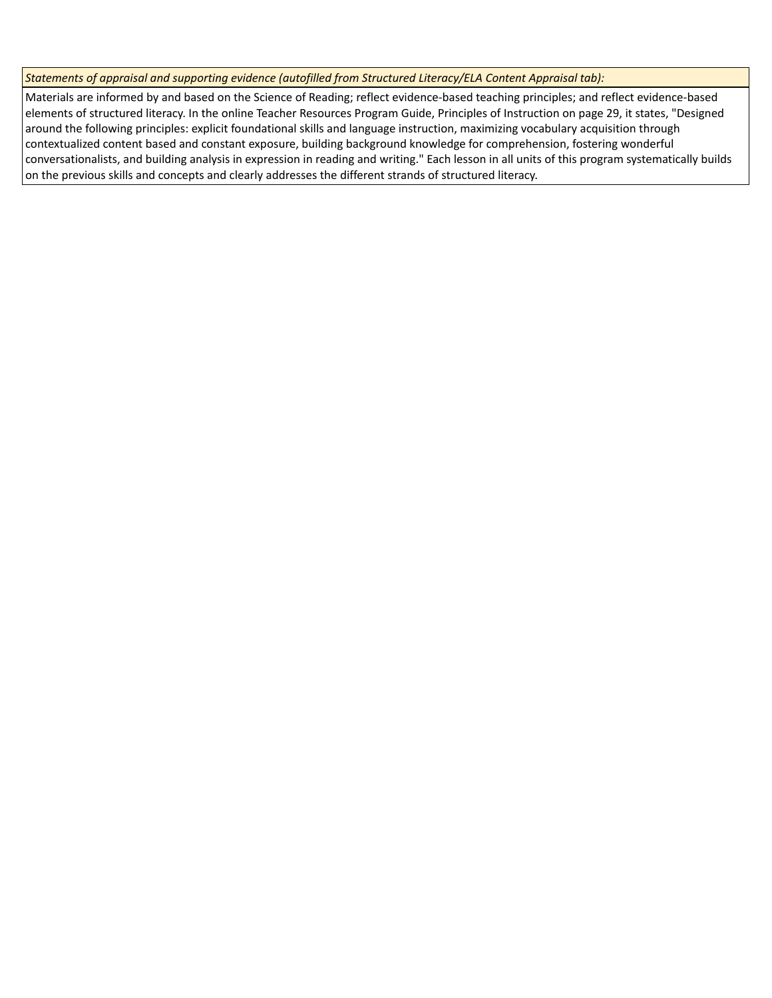*Statements of appraisal and supporting evidence (autofilled from Structured Literacy/ELA Content Appraisal tab):* 

Materials are informed by and based on the Science of Reading; reflect evidence-based teaching principles; and reflect evidence-based elements of structured literacy. In the online Teacher Resources Program Guide, Principles of Instruction on page 29, it states, "Designed around the following principles: explicit foundational skills and language instruction, maximizing vocabulary acquisition through contextualized content based and constant exposure, building background knowledge for comprehension, fostering wonderful conversationalists, and building analysis in expression in reading and writing." Each lesson in all units of this program systematically builds on the previous skills and concepts and clearly addresses the different strands of structured literacy.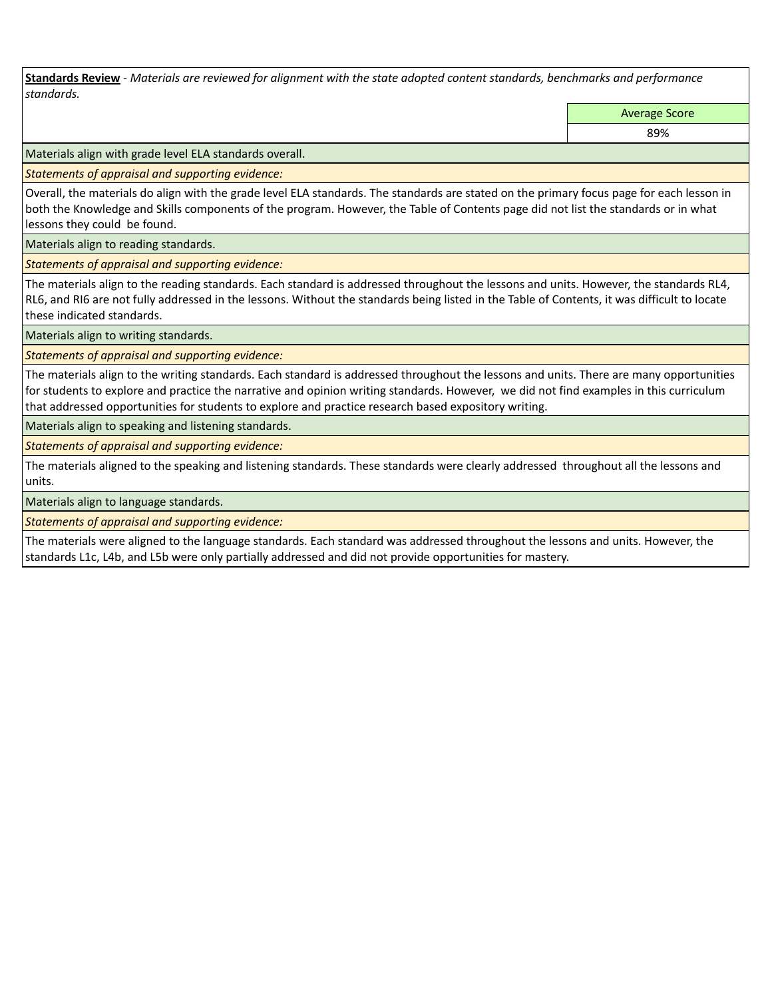**Standards Review** *- Materials are reviewed for alignment with the state adopted content standards, benchmarks and performance standards.*

Average Score

89%

Materials align with grade level ELA standards overall.

*Statements of appraisal and supporting evidence:* 

Overall, the materials do align with the grade level ELA standards. The standards are stated on the primary focus page for each lesson in both the Knowledge and Skills components of the program. However, the Table of Contents page did not list the standards or in what lessons they could be found.

Materials align to reading standards.

*Statements of appraisal and supporting evidence:* 

The materials align to the reading standards. Each standard is addressed throughout the lessons and units. However, the standards RL4, RL6, and RI6 are not fully addressed in the lessons. Without the standards being listed in the Table of Contents, it was difficult to locate these indicated standards.

Materials align to writing standards.

*Statements of appraisal and supporting evidence:* 

The materials align to the writing standards. Each standard is addressed throughout the lessons and units. There are many opportunities for students to explore and practice the narrative and opinion writing standards. However, we did not find examples in this curriculum that addressed opportunities for students to explore and practice research based expository writing.

Materials align to speaking and listening standards.

*Statements of appraisal and supporting evidence:* 

The materials aligned to the speaking and listening standards. These standards were clearly addressed throughout all the lessons and units.

Materials align to language standards.

*Statements of appraisal and supporting evidence:* 

The materials were aligned to the language standards. Each standard was addressed throughout the lessons and units. However, the standards L1c, L4b, and L5b were only partially addressed and did not provide opportunities for mastery.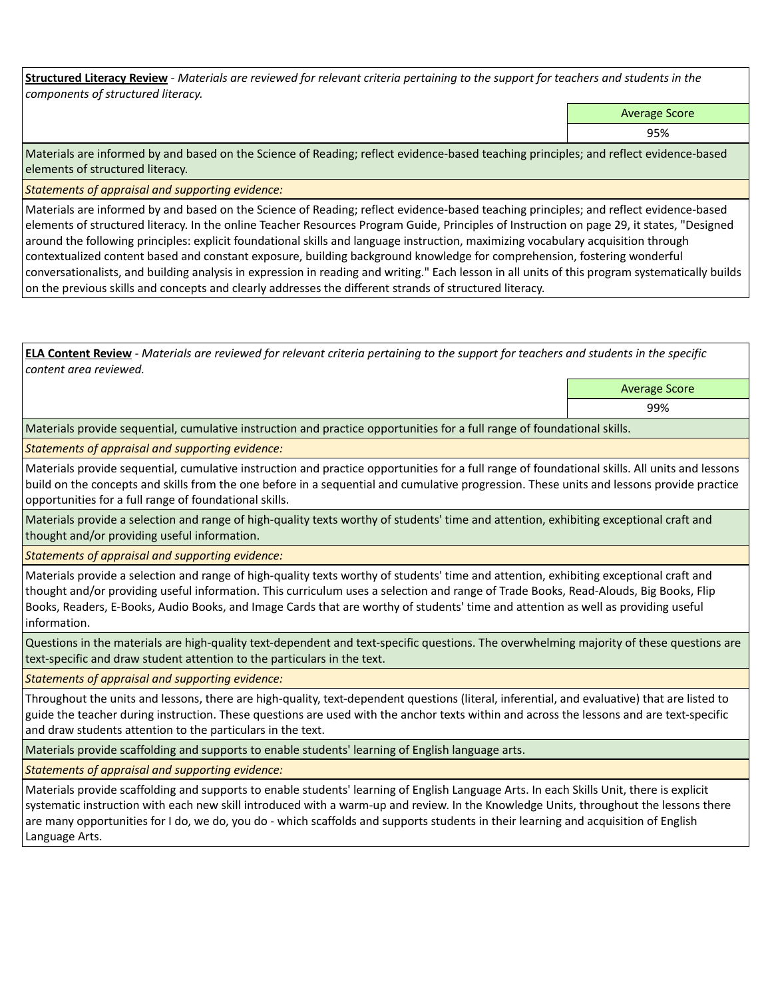**Structured Literacy Review** *- Materials are reviewed for relevant criteria pertaining to the support for teachers and students in the components of structured literacy.*

Average Score

95%

Materials are informed by and based on the Science of Reading; reflect evidence-based teaching principles; and reflect evidence-based elements of structured literacy.

*Statements of appraisal and supporting evidence:*

Materials are informed by and based on the Science of Reading; reflect evidence-based teaching principles; and reflect evidence-based elements of structured literacy. In the online Teacher Resources Program Guide, Principles of Instruction on page 29, it states, "Designed around the following principles: explicit foundational skills and language instruction, maximizing vocabulary acquisition through contextualized content based and constant exposure, building background knowledge for comprehension, fostering wonderful conversationalists, and building analysis in expression in reading and writing." Each lesson in all units of this program systematically builds on the previous skills and concepts and clearly addresses the different strands of structured literacy.

**ELA Content Review** *- Materials are reviewed for relevant criteria pertaining to the support for teachers and students in the specific content area reviewed.*

> Average Score 99%

Materials provide sequential, cumulative instruction and practice opportunities for a full range of foundational skills.

*Statements of appraisal and supporting evidence:* 

Materials provide sequential, cumulative instruction and practice opportunities for a full range of foundational skills. All units and lessons build on the concepts and skills from the one before in a sequential and cumulative progression. These units and lessons provide practice opportunities for a full range of foundational skills.

Materials provide a selection and range of high-quality texts worthy of students' time and attention, exhibiting exceptional craft and thought and/or providing useful information.

*Statements of appraisal and supporting evidence:* 

Materials provide a selection and range of high-quality texts worthy of students' time and attention, exhibiting exceptional craft and thought and/or providing useful information. This curriculum uses a selection and range of Trade Books, Read-Alouds, Big Books, Flip Books, Readers, E-Books, Audio Books, and Image Cards that are worthy of students' time and attention as well as providing useful information.

Questions in the materials are high-quality text-dependent and text-specific questions. The overwhelming majority of these questions are text-specific and draw student attention to the particulars in the text.

*Statements of appraisal and supporting evidence:* 

Throughout the units and lessons, there are high-quality, text-dependent questions (literal, inferential, and evaluative) that are listed to guide the teacher during instruction. These questions are used with the anchor texts within and across the lessons and are text-specific and draw students attention to the particulars in the text.

Materials provide scaffolding and supports to enable students' learning of English language arts.

*Statements of appraisal and supporting evidence:* 

Materials provide scaffolding and supports to enable students' learning of English Language Arts. In each Skills Unit, there is explicit systematic instruction with each new skill introduced with a warm-up and review. In the Knowledge Units, throughout the lessons there are many opportunities for I do, we do, you do - which scaffolds and supports students in their learning and acquisition of English Language Arts.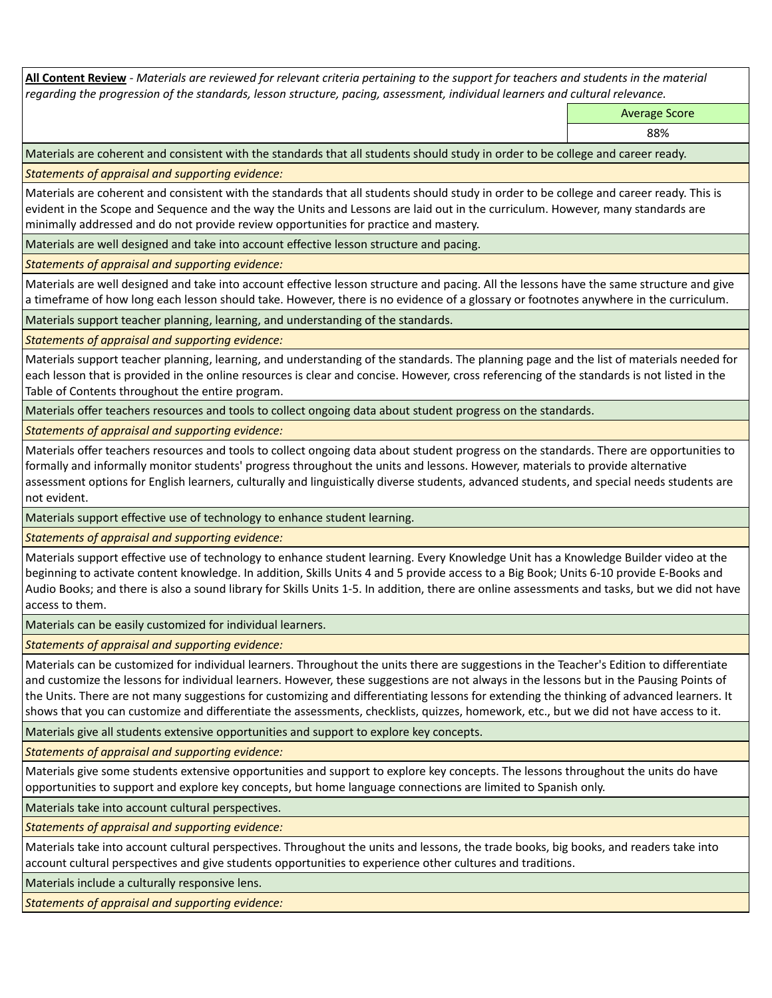**All Content Review** *- Materials are reviewed for relevant criteria pertaining to the support for teachers and students in the material regarding the progression of the standards, lesson structure, pacing, assessment, individual learners and cultural relevance.*

Average Score

88%

Materials are coherent and consistent with the standards that all students should study in order to be college and career ready.

*Statements of appraisal and supporting evidence:*

Materials are coherent and consistent with the standards that all students should study in order to be college and career ready. This is evident in the Scope and Sequence and the way the Units and Lessons are laid out in the curriculum. However, many standards are minimally addressed and do not provide review opportunities for practice and mastery.

Materials are well designed and take into account effective lesson structure and pacing.

*Statements of appraisal and supporting evidence:*

Materials are well designed and take into account effective lesson structure and pacing. All the lessons have the same structure and give a timeframe of how long each lesson should take. However, there is no evidence of a glossary or footnotes anywhere in the curriculum.

Materials support teacher planning, learning, and understanding of the standards.

*Statements of appraisal and supporting evidence:*

Materials support teacher planning, learning, and understanding of the standards. The planning page and the list of materials needed for each lesson that is provided in the online resources is clear and concise. However, cross referencing of the standards is not listed in the Table of Contents throughout the entire program.

Materials offer teachers resources and tools to collect ongoing data about student progress on the standards.

*Statements of appraisal and supporting evidence:*

Materials offer teachers resources and tools to collect ongoing data about student progress on the standards. There are opportunities to formally and informally monitor students' progress throughout the units and lessons. However, materials to provide alternative assessment options for English learners, culturally and linguistically diverse students, advanced students, and special needs students are not evident.

Materials support effective use of technology to enhance student learning.

*Statements of appraisal and supporting evidence:*

Materials support effective use of technology to enhance student learning. Every Knowledge Unit has a Knowledge Builder video at the beginning to activate content knowledge. In addition, Skills Units 4 and 5 provide access to a Big Book; Units 6-10 provide E-Books and Audio Books; and there is also a sound library for Skills Units 1-5. In addition, there are online assessments and tasks, but we did not have access to them.

Materials can be easily customized for individual learners.

*Statements of appraisal and supporting evidence:* 

Materials can be customized for individual learners. Throughout the units there are suggestions in the Teacher's Edition to differentiate and customize the lessons for individual learners. However, these suggestions are not always in the lessons but in the Pausing Points of the Units. There are not many suggestions for customizing and differentiating lessons for extending the thinking of advanced learners. It shows that you can customize and differentiate the assessments, checklists, quizzes, homework, etc., but we did not have access to it.

Materials give all students extensive opportunities and support to explore key concepts.

*Statements of appraisal and supporting evidence:*

Materials give some students extensive opportunities and support to explore key concepts. The lessons throughout the units do have opportunities to support and explore key concepts, but home language connections are limited to Spanish only.

Materials take into account cultural perspectives.

*Statements of appraisal and supporting evidence:*

Materials take into account cultural perspectives. Throughout the units and lessons, the trade books, big books, and readers take into account cultural perspectives and give students opportunities to experience other cultures and traditions.

Materials include a culturally responsive lens.

*Statements of appraisal and supporting evidence:*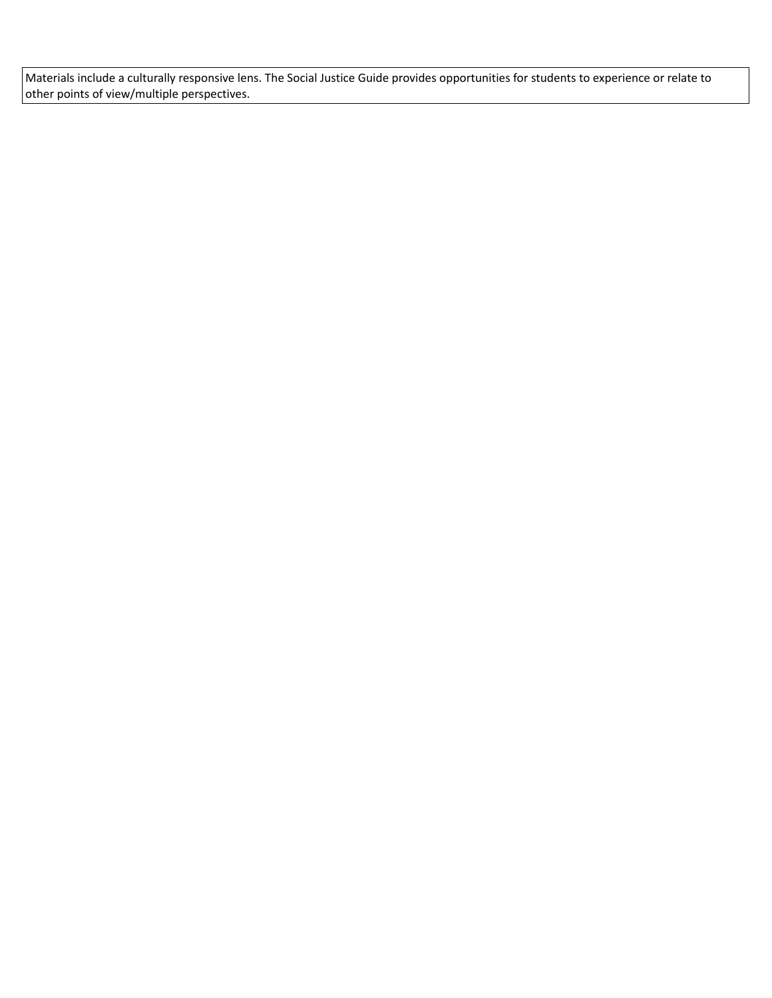Materials include a culturally responsive lens. The Social Justice Guide provides opportunities for students to experience or relate to other points of view/multiple perspectives.